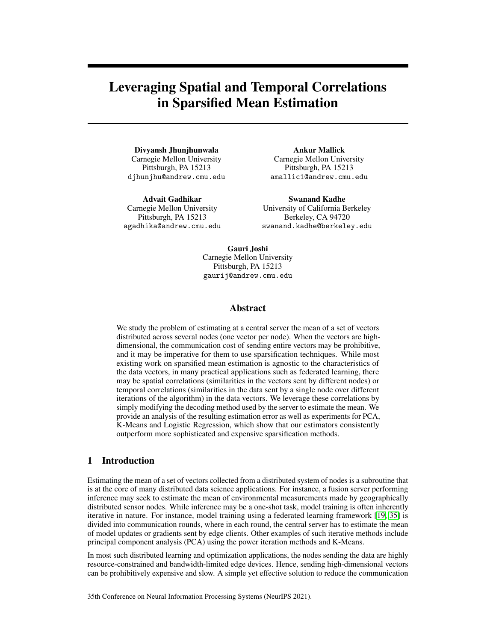# Leveraging Spatial and Temporal Correlations in Sparsified Mean Estimation

Divyansh Jhunjhunwala Carnegie Mellon University Pittsburgh, PA 15213 djhunjhu@andrew.cmu.edu

Advait Gadhikar Carnegie Mellon University Pittsburgh, PA 15213 agadhika@andrew.cmu.edu

Ankur Mallick Carnegie Mellon University Pittsburgh, PA 15213 amallic1@andrew.cmu.edu

Swanand Kadhe University of California Berkeley Berkeley, CA 94720 swanand.kadhe@berkeley.edu

Gauri Joshi Carnegie Mellon University Pittsburgh, PA 15213 gaurij@andrew.cmu.edu

#### Abstract

We study the problem of estimating at a central server the mean of a set of vectors distributed across several nodes (one vector per node). When the vectors are highdimensional, the communication cost of sending entire vectors may be prohibitive, and it may be imperative for them to use sparsification techniques. While most existing work on sparsified mean estimation is agnostic to the characteristics of the data vectors, in many practical applications such as federated learning, there may be spatial correlations (similarities in the vectors sent by different nodes) or temporal correlations (similarities in the data sent by a single node over different iterations of the algorithm) in the data vectors. We leverage these correlations by simply modifying the decoding method used by the server to estimate the mean. We provide an analysis of the resulting estimation error as well as experiments for PCA, K-Means and Logistic Regression, which show that our estimators consistently outperform more sophisticated and expensive sparsification methods.

### 1 Introduction

Estimating the mean of a set of vectors collected from a distributed system of nodes is a subroutine that is at the core of many distributed data science applications. For instance, a fusion server performing inference may seek to estimate the mean of environmental measurements made by geographically distributed sensor nodes. While inference may be a one-shot task, model training is often inherently iterative in nature. For instance, model training using a federated learning framework [\[19,](#page-10-0) [35\]](#page-11-0) is divided into communication rounds, where in each round, the central server has to estimate the mean of model updates or gradients sent by edge clients. Other examples of such iterative methods include principal component analysis (PCA) using the power iteration methods and K-Means.

In most such distributed learning and optimization applications, the nodes sending the data are highly resource-constrained and bandwidth-limited edge devices. Hence, sending high-dimensional vectors can be prohibitively expensive and slow. A simple yet effective solution to reduce the communication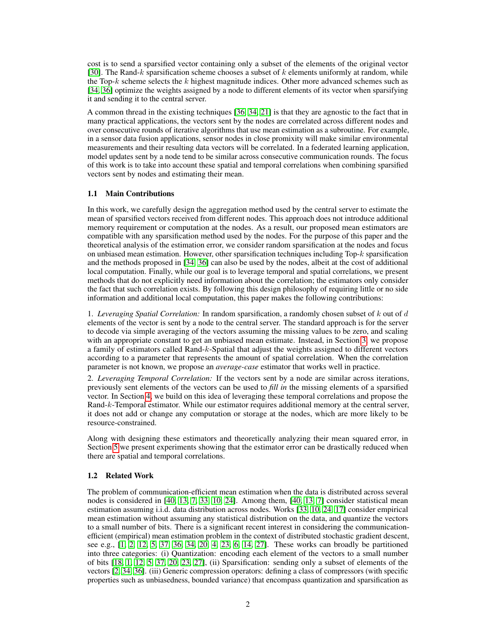cost is to send a sparsified vector containing only a subset of the elements of the original vector [\[30\]](#page-11-1). The Rand-k sparsification scheme chooses a subset of  $k$  elements uniformly at random, while the Top-k scheme selects the k highest magnitude indices. Other more advanced schemes such as [\[34,](#page-11-2) [36\]](#page-11-3) optimize the weights assigned by a node to different elements of its vector when sparsifying it and sending it to the central server.

A common thread in the existing techniques [\[36,](#page-11-3) [34,](#page-11-2) [21\]](#page-11-4) is that they are agnostic to the fact that in many practical applications, the vectors sent by the nodes are correlated across different nodes and over consecutive rounds of iterative algorithms that use mean estimation as a subroutine. For example, in a sensor data fusion applications, sensor nodes in close promixity will make similar environmental measurements and their resulting data vectors will be correlated. In a federated learning application, model updates sent by a node tend to be similar across consecutive communication rounds. The focus of this work is to take into account these spatial and temporal correlations when combining sparsified vectors sent by nodes and estimating their mean.

#### 1.1 Main Contributions

In this work, we carefully design the aggregation method used by the central server to estimate the mean of sparsified vectors received from different nodes. This approach does not introduce additional memory requirement or computation at the nodes. As a result, our proposed mean estimators are compatible with any sparsification method used by the nodes. For the purpose of this paper and the theoretical analysis of the estimation error, we consider random sparsification at the nodes and focus on unbiased mean estimation. However, other sparsification techniques including Top-k sparsification and the methods proposed in [\[34,](#page-11-2) [36\]](#page-11-3) can also be used by the nodes, albeit at the cost of additional local computation. Finally, while our goal is to leverage temporal and spatial correlations, we present methods that do not explicitly need information about the correlation; the estimators only consider the fact that such correlation exists. By following this design philosophy of requiring little or no side information and additional local computation, this paper makes the following contributions:

1. *Leveraging Spatial Correlation:* In random sparsification, a randomly chosen subset of k out of d elements of the vector is sent by a node to the central server. The standard approach is for the server to decode via simple averaging of the vectors assuming the missing values to be zero, and scaling with an appropriate constant to get an unbiased mean estimate. Instead, in Section [3,](#page-2-0) we propose a family of estimators called Rand-k-Spatial that adjust the weights assigned to different vectors according to a parameter that represents the amount of spatial correlation. When the correlation parameter is not known, we propose an *average-case* estimator that works well in practice.

2. *Leveraging Temporal Correlation:* If the vectors sent by a node are similar across iterations, previously sent elements of the vectors can be used to *fill in* the missing elements of a sparsified vector. In Section [4,](#page-5-0) we build on this idea of leveraging these temporal correlations and propose the Rand-k-Temporal estimator. While our estimator requires additional memory at the central server, it does not add or change any computation or storage at the nodes, which are more likely to be resource-constrained.

Along with designing these estimators and theoretically analyzing their mean squared error, in Section [5](#page-8-0) we present experiments showing that the estimator error can be drastically reduced when there are spatial and temporal correlations.

#### 1.2 Related Work

The problem of communication-efficient mean estimation when the data is distributed across several nodes is considered in [\[40,](#page-12-0) [13,](#page-10-1) [7,](#page-10-2) [33,](#page-11-5) [10,](#page-10-3) [24\]](#page-11-6). Among them, [\[40,](#page-12-0) [13,](#page-10-1) [7\]](#page-10-2) consider statistical mean estimation assuming i.i.d. data distribution across nodes. Works [\[33,](#page-11-5) [10,](#page-10-3) [24,](#page-11-6) [17\]](#page-10-4) consider empirical mean estimation without assuming any statistical distribution on the data, and quantize the vectors to a small number of bits. There is a significant recent interest in considering the communicationefficient (empirical) mean estimation problem in the context of distributed stochastic gradient descent, see e.g., [\[1,](#page-9-0) [2,](#page-9-1) [12,](#page-10-5) [5,](#page-10-6) [37,](#page-12-1) [36,](#page-11-3) [34,](#page-11-2) [20,](#page-11-7) [4,](#page-10-7) [23,](#page-11-8) [6,](#page-10-8) [14,](#page-10-9) [27\]](#page-11-9). These works can broadly be partitioned into three categories: (i) Quantization: encoding each element of the vectors to a small number of bits [\[18,](#page-10-10) [1,](#page-9-0) [12,](#page-10-5) [5,](#page-10-6) [37,](#page-12-1) [20,](#page-11-7) [23,](#page-11-8) [27\]](#page-11-9), (ii) Sparsification: sending only a subset of elements of the vectors [\[2,](#page-9-1) [34,](#page-11-2) [36\]](#page-11-3). (iii) Generic compression operators: defining a class of compressors (with specific properties such as unbiasedness, bounded variance) that encompass quantization and sparsification as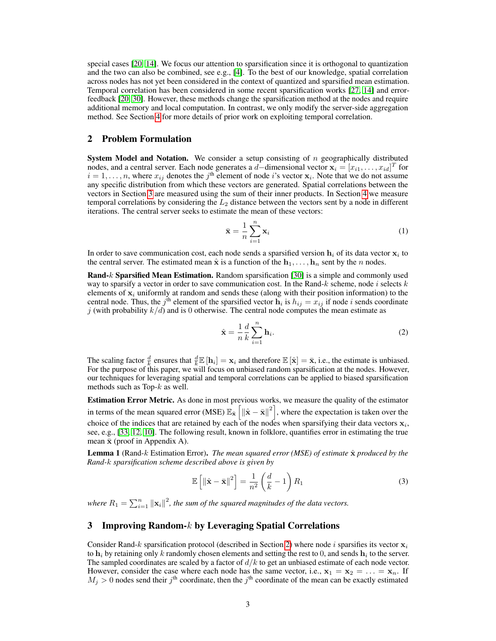special cases [\[20,](#page-11-7) [14\]](#page-10-9). We focus our attention to sparsification since it is orthogonal to quantization and the two can also be combined, see e.g., [\[4\]](#page-10-7). To the best of our knowledge, spatial correlation across nodes has not yet been considered in the context of quantized and sparsified mean estimation. Temporal correlation has been considered in some recent sparsification works [\[27,](#page-11-9) [14\]](#page-10-9) and errorfeedback [\[20,](#page-11-7) [30\]](#page-11-1). However, these methods change the sparsification method at the nodes and require additional memory and local computation. In contrast, we only modify the server-side aggregation method. See Section [4](#page-5-0) for more details of prior work on exploiting temporal correlation.

### <span id="page-2-1"></span>2 Problem Formulation

**System Model and Notation.** We consider a setup consisting of  $n$  geographically distributed nodes, and a central server. Each node generates a  $d$ -dimensional vector  $\mathbf{x}_i = [x_{i1}, \dots, x_{id}]^T$  for  $i = 1, \ldots, n$ , where  $x_{ij}$  denotes the j<sup>th</sup> element of node i's vector  $x_i$ . Note that we do not assume any specific distribution from which these vectors are generated. Spatial correlations between the vectors in Section [3](#page-2-0) are measured using the sum of their inner products. In Section [4](#page-5-0) we measure temporal correlations by considering the  $L_2$  distance between the vectors sent by a node in different iterations. The central server seeks to estimate the mean of these vectors:

$$
\bar{\mathbf{x}} = \frac{1}{n} \sum_{i=1}^{n} \mathbf{x}_i
$$
 (1)

In order to save communication cost, each node sends a sparsified version  $\mathbf{h}_i$  of its data vector  $\mathbf{x}_i$  to the central server. The estimated mean  $\hat{x}$  is a function of the  $h_1, \ldots, h_n$  sent by the n nodes.

Rand-k Sparsified Mean Estimation. Random sparsification [\[30\]](#page-11-1) is a simple and commonly used way to sparsify a vector in order to save communication cost. In the Rand- $k$  scheme, node i selects  $k$ elements of  $x_i$  uniformly at random and sends these (along with their position information) to the central node. Thus, the  $j^{\text{th}}$  element of the sparsified vector  $\mathbf{h}_i$  is  $h_{ij} = x_{ij}$  if node *i* sends coordinate j (with probability  $k/d$ ) and is 0 otherwise. The central node computes the mean estimate as

<span id="page-2-2"></span>
$$
\hat{\mathbf{x}} = \frac{1}{n} \frac{d}{k} \sum_{i=1}^{n} \mathbf{h}_i.
$$
 (2)

The scaling factor  $\frac{d}{k}$  ensures that  $\frac{d}{k}\mathbb{E}[\mathbf{h}_i] = \mathbf{x}_i$  and therefore  $\mathbb{E}[\hat{\mathbf{x}}] = \bar{\mathbf{x}}$ , i.e., the estimate is unbiased. For the purpose of this paper, we will focus on unbiased random sparsification at the nodes. However, our techniques for leveraging spatial and temporal correlations can be applied to biased sparsification methods such as Top- $k$  as well.

Estimation Error Metric. As done in most previous works, we measure the quality of the estimator in terms of the mean squared error (MSE)  $\mathbb{E}_{\hat{\mathbf{x}}} \left[ \left\| \hat{\mathbf{x}} - \bar{\mathbf{x}} \right\|^2 \right]$ , where the expectation is taken over the choice of the indices that are retained by each of the nodes when sparsifying their data vectors  $x_i$ , see, e.g., [\[33,](#page-11-5) [12,](#page-10-5) [10\]](#page-10-3). The following result, known in folklore, quantifies error in estimating the true mean  $\bar{x}$  (proof in Appendix A).

<span id="page-2-4"></span>**Lemma 1** (Rand-k Estimation Error). *The mean squared error (MSE) of estimate*  $\hat{\mathbf{x}}$  *produced by the Rand-*k *sparsification scheme described above is given by*

<span id="page-2-3"></span>
$$
\mathbb{E}\left[\left\|\hat{\mathbf{x}} - \bar{\mathbf{x}}\right\|^2\right] = \frac{1}{n^2} \left(\frac{d}{k} - 1\right) R_1 \tag{3}
$$

where  $R_1 = \sum_{i=1}^n ||\mathbf{x}_i||^2$ , the sum of the squared magnitudes of the data vectors.

## <span id="page-2-0"></span>3 Improving Random- $k$  by Leveraging Spatial Correlations

Consider Rand-k sparsification protocol (described in Section [2\)](#page-2-1) where node i sparsifies its vector  $x_i$ to  $\mathbf{h}_i$  by retaining only k randomly chosen elements and setting the rest to 0, and sends  $\mathbf{h}_i$  to the server. The sampled coordinates are scaled by a factor of  $d/k$  to get an unbiased estimate of each node vector. However, consider the case where each node has the same vector, i.e.,  $x_1 = x_2 = ... = x_n$ . If  $M_j > 0$  nodes send their  $j^{\text{th}}$  coordinate, then the  $j^{\text{th}}$  coordinate of the mean can be exactly estimated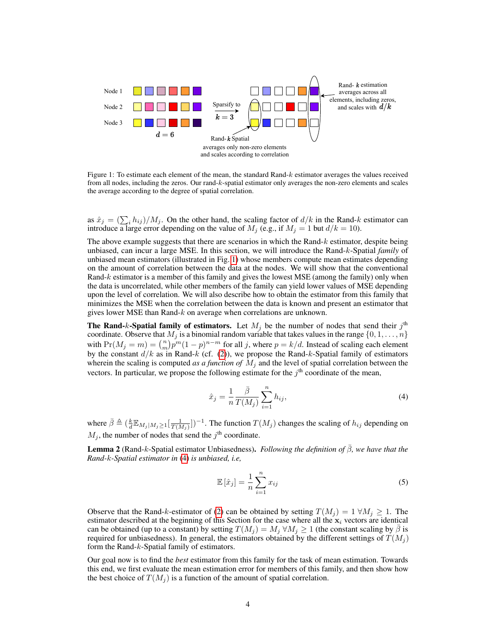<span id="page-3-0"></span>

Figure 1: To estimate each element of the mean, the standard Rand-k estimator averages the values received from all nodes, including the zeros. Our rand-k-spatial estimator only averages the non-zero elements and scales the average according to the degree of spatial correlation.

as  $\hat{x}_j = (\sum_i h_{ij})/M_j$ . On the other hand, the scaling factor of  $d/k$  in the Rand-k estimator can introduce a large error depending on the value of  $M_j$  (e.g., if  $M_j = 1$  but  $d/k = 10$ ).

The above example suggests that there are scenarios in which the Rand- $k$  estimator, despite being unbiased, can incur a large MSE. In this section, we will introduce the Rand-k-Spatial *family* of unbiased mean estimators (illustrated in Fig. [1\)](#page-3-0) whose members compute mean estimates depending on the amount of correlation between the data at the nodes. We will show that the conventional Rand-k estimator is a member of this family and gives the lowest MSE (among the family) only when the data is uncorrelated, while other members of the family can yield lower values of MSE depending upon the level of correlation. We will also describe how to obtain the estimator from this family that minimizes the MSE when the correlation between the data is known and present an estimator that gives lower MSE than Rand-k on average when correlations are unknown.

The Rand-k-Spatial family of estimators. Let  $M_j$  be the number of nodes that send their  $j^{\text{th}}$ coordinate. Observe that  $M_i$  is a binomial random variable that takes values in the range  $\{0, 1, \ldots, n\}$ with  $Pr(M_j = m) = {n \choose m} p^m (1-p)^{n-m}$  for all j, where  $p = k/d$ . Instead of scaling each element by the constant  $d/k$  as in Rand-k (cf. [\(2\)](#page-2-2)), we propose the Rand-k-Spatial family of estimators wherein the scaling is computed *as a function of*  $M_j$  and the level of spatial correlation between the vectors. In particular, we propose the following estimate for the  $j<sup>th</sup>$  coordinate of the mean,

<span id="page-3-1"></span>
$$
\hat{x}_j = \frac{1}{n} \frac{\bar{\beta}}{T(M_j)} \sum_{i=1}^n h_{ij},\tag{4}
$$

where  $\bar{\beta} \triangleq (\frac{k}{d} \mathbb{E}_{M_j|M_j \ge 1}[\frac{1}{T(M_j)}])^{-1}$ . The function  $T(M_j)$  changes the scaling of  $h_{ij}$  depending on  $M_j$ , the number of nodes that send the  $j^{\text{th}}$  coordinate.

**Lemma 2** (Rand-k-Spatial estimator Unbiasedness). *Following the definition of*  $\beta$ *, we have that the Rand-*k*-Spatial estimator in* [\(4\)](#page-3-1) *is unbiased, i.e,*

$$
\mathbb{E}\left[\hat{x}_j\right] = \frac{1}{n} \sum_{i=1}^n x_{ij} \tag{5}
$$

Observe that the Rand-k-estimator of [\(2\)](#page-2-2) can be obtained by setting  $T(M_j) = 1 \,\forall M_j \geq 1$ . The estimator described at the beginning of this Section for the case where all the  $x_i$  vectors are identical can be obtained (up to a constant) by setting  $T(M_i) = M_i \forall M_i \ge 1$  (the constant scaling by  $\beta$  is required for unbiasedness). In general, the estimators obtained by the different settings of  $T(M_i)$ form the Rand-k-Spatial family of estimators.

Our goal now is to find the *best* estimator from this family for the task of mean estimation. Towards this end, we first evaluate the mean estimation error for members of this family, and then show how the best choice of  $T(M_i)$  is a function of the amount of spatial correlation.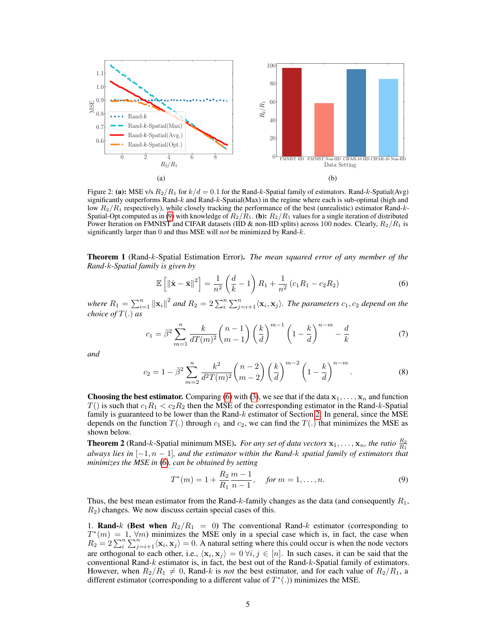<span id="page-4-3"></span>

Figure 2: (a): MSE v/s  $R_2/R_1$  for  $k/d = 0.1$  for the Rand-k-Spatial family of estimators. Rand-k-Spatial(Avg) significantly outperforms Rand-k and Rand-k-Spatial(Max) in the regime where each is sub-optimal (high and low  $R_2/R_1$  respectively), while closely tracking the performance of the best (unrealistic) estimator Rand-k-Spatial-Opt computed as in [\(9\)](#page-4-0) with knowledge of  $R_2/R_1$ . (b):  $R_2/R_1$  values for a single iteration of distributed Power Iteration on FMNIST and CIFAR datasets (IID & non-IID splits) across 100 nodes. Clearly,  $R_2/R_1$  is significantly larger than 0 and thus MSE will *not* be minimized by Rand-k.

Theorem 1 (Rand-k-Spatial Estimation Error). *The mean squared error of any member of the Rand-*k*-Spatial family is given by*

<span id="page-4-1"></span>
$$
\mathbb{E}\left[\left\|\hat{\mathbf{x}}-\bar{\mathbf{x}}\right\|^2\right] = \frac{1}{n^2} \left(\frac{d}{k}-1\right) R_1 + \frac{1}{n^2} \left(c_1 R_1 - c_2 R_2\right) \tag{6}
$$

where  $R_1 = \sum_{i=1}^n ||\mathbf{x}_i||^2$  and  $R_2 = 2\sum_{i}^n \sum_{j=i+1}^n \langle \mathbf{x}_i, \mathbf{x}_j \rangle$ . The parameters  $c_1, c_2$  depend on the *choice of* T(.) *as*

$$
c_1 = \bar{\beta}^2 \sum_{m=1}^n \frac{k}{dT(m)^2} {n-1 \choose m-1} \left(\frac{k}{d}\right)^{m-1} \left(1 - \frac{k}{d}\right)^{n-m} - \frac{d}{k}
$$
(7)

*and*

$$
c_2 = 1 - \bar{\beta}^2 \sum_{m=2}^n \frac{k^2}{d^2 T(m)^2} {n-2 \choose m-2} \left(\frac{k}{d}\right)^{m-2} \left(1 - \frac{k}{d}\right)^{n-m}.
$$
 (8)

**Choosing the best estimator.** Comparing [\(6\)](#page-4-1) with [\(3\)](#page-2-3), we see that if the data  $x_1, \ldots, x_n$  and function  $T($ ) is such that  $c_1R_1 < c_2R_2$  then the MSE of the corresponding estimator in the Rand-k-Spatial family is guaranteed to be lower than the Rand- $k$  estimator of Section [2.](#page-2-1) In general, since the MSE depends on the function  $T(.)$  through  $c_1$  and  $c_2$ , we can find the  $T(.)$  that minimizes the MSE as shown below.

<span id="page-4-2"></span>**Theorem 2** (Rand-k-Spatial minimum MSE). *For any set of data vectors*  $x_1, \ldots, x_n$ , the ratio  $\frac{R_2}{R_1}$ *always lies in* [−1, n − 1]*, and the estimator within the Rand-*k *spatial family of estimators that minimizes the MSE in* [\(6\)](#page-4-1)*, can be obtained by setting*

<span id="page-4-0"></span>
$$
T^*(m) = 1 + \frac{R_2}{R_1} \frac{m-1}{n-1}, \quad \text{for } m = 1, \dots, n. \tag{9}
$$

Thus, the best mean estimator from the Rand-k-family changes as the data (and consequently  $R_1$ ,  $R<sub>2</sub>$ ) changes. We now discuss certain special cases of this.

1. Rand-k (Best when  $R_2/R_1 = 0$ ) The conventional Rand-k estimator (corresponding to  $T^*(m) = 1, \forall m$ ) minimizes the MSE only in a special case which is, in fact, the case when  $R_2 = 2\sum_i^n \sum_{j=i+1}^n \langle \mathbf{x}_i, \mathbf{x}_j \rangle = 0$ . A natural setting where this could occur is when the node vectors are orthogonal to each other, i.e.,  $\langle x_i, x_j \rangle = 0 \forall i, j \in [n]$ . In such cases, it can be said that the conventional Rand- $k$  estimator is, in fact, the best out of the Rand- $k$ -Spatial family of estimators. However, when  $R_2/R_1 \neq 0$ , Rand-k is *not* the best estimator, and for each value of  $R_2/R_1$ , a different estimator (corresponding to a different value of  $T^*(.)$ ) minimizes the MSE.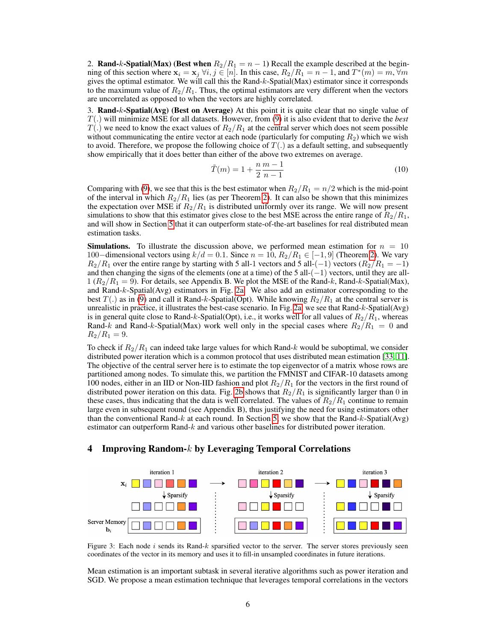2. Rand-k-Spatial(Max) (Best when  $R_2/R_1 = n - 1$ ) Recall the example described at the beginning of this section where  $\mathbf{x}_i = \mathbf{x}_j \ \forall i, j \in [n]$ . In this case,  $R_2/R_1 = n - 1$ , and  $T^*(m) = m$ ,  $\forall m$ gives the optimal estimator. We will call this the Rand-k-Spatial(Max) estimator since it corresponds to the maximum value of  $R_2/R_1$ . Thus, the optimal estimators are very different when the vectors are uncorrelated as opposed to when the vectors are highly correlated.

3. Rand-k-Spatial(Avg) (Best on Average) At this point it is quite clear that no single value of T(.) will minimize MSE for all datasets. However, from [\(9\)](#page-4-0) it is also evident that to derive the *best*  $T(.)$  we need to know the exact values of  $R_2/R_1$  at the central server which does not seem possible without communicating the entire vector at each node (particularly for computing  $R_2$ ) which we wish to avoid. Therefore, we propose the following choice of  $T(.)$  as a default setting, and subsequently show empirically that it does better than either of the above two extremes on average.

$$
\tilde{T}(m) = 1 + \frac{n}{2} \frac{m-1}{n-1}
$$
\n(10)

Comparing with [\(9\)](#page-4-0), we see that this is the best estimator when  $R_2/R_1 = n/2$  which is the mid-point of the interval in which  $R_2/R_1$  lies (as per Theorem [2\)](#page-4-2). It can also be shown that this minimizes the expectation over MSE if  $R_2/R_1$  is distributed uniformly over its range. We will now present simulations to show that this estimator gives close to the best MSE across the entire range of  $R_2/R_1$ , and will show in Section [5](#page-8-0) that it can outperform state-of-the-art baselines for real distributed mean estimation tasks.

**Simulations.** To illustrate the discussion above, we performed mean estimation for  $n = 10$ 100−dimensional vectors using  $k/d = 0.1$ . Since  $n = 10$ ,  $R_2/R_1 \in [-1, 9]$  (Theorem [2\)](#page-4-2). We vary  $R_2/R_1$  over the entire range by starting with 5 all-1 vectors and 5 all- $(-1)$  vectors  $(R_2/R_1 = -1)$ and then changing the signs of the elements (one at a time) of the 5 all- $(-1)$  vectors, until they are all- $1 (R_2/R_1 = 9)$ . For details, see Appendix B. We plot the MSE of the Rand-k, Rand-k-Spatial(Max), and Rand-k-Spatial(Avg) estimators in Fig. [2a.](#page-4-3) We also add an estimator corresponding to the best  $T(.)$  as in [\(9\)](#page-4-0) and call it Rand-k-Spatial(Opt). While knowing  $R_2/R_1$  at the central server is unrealistic in practice, it illustrates the best-case scenario. In Fig. [2a,](#page-4-3) we see that Rand-k-Spatial(Avg) is in general quite close to Rand-k-Spatial(Opt), i.e., it works well for all values of  $R_2/R_1$ , whereas Rand-k and Rand-k-Spatial(Max) work well only in the special cases where  $R_2/R_1 = 0$  and  $R_2/R_1 = 9.$ 

To check if  $R_2/R_1$  can indeed take large values for which Rand-k would be suboptimal, we consider distributed power iteration which is a common protocol that uses distributed mean estimation [\[33,](#page-11-5) [11\]](#page-10-11). The objective of the central server here is to estimate the top eigenvector of a matrix whose rows are partitioned among nodes. To simulate this, we partition the FMNIST and CIFAR-10 datasets among 100 nodes, either in an IID or Non-IID fashion and plot  $R_2/R_1$  for the vectors in the first round of distributed power iteration on this data. Fig. [2b](#page-4-3) shows that  $R_2/R_1$  is significantly larger than 0 in these cases, thus indicating that the data is well correlated. The values of  $R_2/R_1$  continue to remain large even in subsequent round (see Appendix B), thus justifying the need for using estimators other than the conventional Rand-k at each round. In Section [5,](#page-8-0) we show that the Rand-k-Spatial(Avg) estimator can outperform Rand- $k$  and various other baselines for distributed power iteration.

#### <span id="page-5-0"></span>4 Improving Random- $k$  by Leveraging Temporal Correlations

<span id="page-5-1"></span>

Figure 3: Each node  $i$  sends its Rand- $k$  sparsified vector to the server. The server stores previously seen coordinates of the vector in its memory and uses it to fill-in unsampled coordinates in future iterations.

Mean estimation is an important subtask in several iterative algorithms such as power iteration and SGD. We propose a mean estimation technique that leverages temporal correlations in the vectors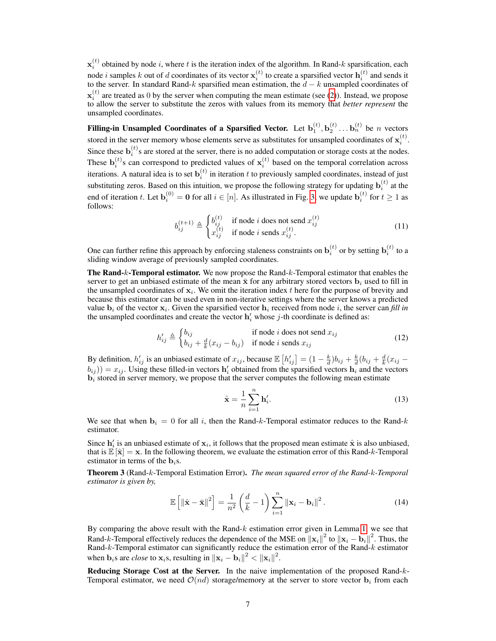$\mathbf{x}_i^{(t)}$  obtained by node i, where t is the iteration index of the algorithm. In Rand-k sparsification, each node *i* samples *k* out of *d* coordinates of its vector  $\mathbf{x}_i^{(t)}$  to create a sparsified vector  $\mathbf{h}_i^{(t)}$  and sends it to the server. In standard Rand-k sparsified mean estimation, the  $d - k$  unsampled coordinates of  $\mathbf{x}_i^{(t)}$  are treated as 0 by the server when computing the mean estimate (see [\(2\)](#page-2-2)). Instead, we propose to allow the server to substitute the zeros with values from its memory that *better represent* the unsampled coordinates.

Filling-in Unsampled Coordinates of a Sparsified Vector. Let  $\mathbf{b}_1^{(t)}, \mathbf{b}_2^{(t)} \dots \mathbf{b}_n^{(t)}$  be n vectors stored in the server memory whose elements serve as substitutes for unsampled coordinates of  $\mathbf{x}_i^{(t)}$ . Since these  $\mathbf{b}_i^{(t)}$ s are stored at the server, there is no added computation or storage costs at the nodes. These  $\mathbf{b}_i^{(t)}$ s can correspond to predicted values of  $\mathbf{x}_i^{(t)}$  based on the temporal correlation across iterations. A natural idea is to set  $\mathbf{b}_i^{(t)}$  in iteration t to previously sampled coordinates, instead of just substituting zeros. Based on this intuition, we propose the following strategy for updating  $\mathbf{b}_i^{(t)}$  at the end of iteration t. Let  $\mathbf{b}_i^{(0)} = \mathbf{0}$  for all  $i \in [n]$ . As illustrated in Fig. [3,](#page-5-1) we update  $\mathbf{b}_i^{(t)}$  for  $t \ge 1$  as follows:

<span id="page-6-0"></span>
$$
b_{ij}^{(t+1)} \triangleq \begin{cases} b_{ij}^{(t)} & \text{if node } i \text{ does not send } x_{ij}^{(t)} \\ x_{ij}^{(t)} & \text{if node } i \text{ sends } x_{ij}^{(t)}. \end{cases} \tag{11}
$$

One can further refine this approach by enforcing staleness constraints on  $\mathbf{b}_i^{(t)}$  or by setting  $\mathbf{b}_i^{(t)}$  to a sliding window average of previously sampled coordinates.

The Rand-k-Temporal estimator. We now propose the Rand-k-Temporal estimator that enables the server to get an unbiased estimate of the mean  $\bar{x}$  for any arbitrary stored vectors  $b_i$  used to fill in the unsampled coordinates of  $x_i$ . We omit the iteration index t here for the purpose of brevity and because this estimator can be used even in non-iterative settings where the server knows a predicted value  $\mathbf{b}_i$  of the vector  $\mathbf{x}_i$ . Given the sparsified vector  $\mathbf{h}_i$  received from node i, the server can *fill in* the unsampled coordinates and create the vector  $h'_i$  whose j-th coordinate is defined as:

$$
h'_{ij} \triangleq \begin{cases} b_{ij} & \text{if node } i \text{ does not send } x_{ij} \\ b_{ij} + \frac{d}{k}(x_{ij} - b_{ij}) & \text{if node } i \text{ sends } x_{ij} \end{cases}
$$
(12)

By definition,  $h'_{ij}$  is an unbiased estimate of  $x_{ij}$ , because  $\mathbb{E}\left[h'_{ij}\right] = (1 - \frac{k}{d})b_{ij} + \frac{k}{d}(b_{ij} + \frac{d}{k}(x_{ij} (b_{ij})$ ) =  $x_{ij}$ . Using these filled-in vectors  $h'_i$  obtained from the sparsified vectors  $h_i$  and the vectors  **stored in server memory, we propose that the server computes the following mean estimate** 

$$
\hat{\mathbf{x}} = \frac{1}{n} \sum_{i=1}^{n} \mathbf{h}'_i.
$$
 (13)

We see that when  $b_i = 0$  for all i, then the Rand-k-Temporal estimator reduces to the Rand-k estimator.

Since  $h'_i$  is an unbiased estimate of  $x_i$ , it follows that the proposed mean estimate  $\hat{x}$  is also unbiased, that is  $\mathbb{E}[\hat{x}] = x$ . In the following theorem, we evaluate the estimation error of this Rand-k-Temporal estimator in terms of the  $\mathbf{b}_i$ s.

Theorem 3 (Rand-k-Temporal Estimation Error). *The mean squared error of the Rand-*k*-Temporal estimator is given by,*

$$
\mathbb{E}\left[\left\|\hat{\mathbf{x}} - \bar{\mathbf{x}}\right\|^2\right] = \frac{1}{n^2} \left(\frac{d}{k} - 1\right) \sum_{i=1}^n \left\|\mathbf{x}_i - \mathbf{b}_i\right\|^2.
$$
 (14)

By comparing the above result with the Rand- $k$  estimation error given in Lemma [1,](#page-2-4) we see that Rand-k-Temporal effectively reduces the dependence of the MSE on  $||\mathbf{x}_i||^2$  to  $||\mathbf{x}_i - \mathbf{b}_i||^2$ . Thus, the Rand-k-Temporal estimator can significantly reduce the estimation error of the Rand-k estimator when  $\mathbf{b}_i$ s are *close* to  $\mathbf{x}_i$ s, resulting in  $\|\mathbf{x}_i - \mathbf{b}_i\|^2 < \|\mathbf{x}_i\|^2$ .

Reducing Storage Cost at the Server. In the naive implementation of the proposed Rand- $k$ -Temporal estimator, we need  $\mathcal{O}(nd)$  storage/memory at the server to store vector  $\mathbf{b}_i$  from each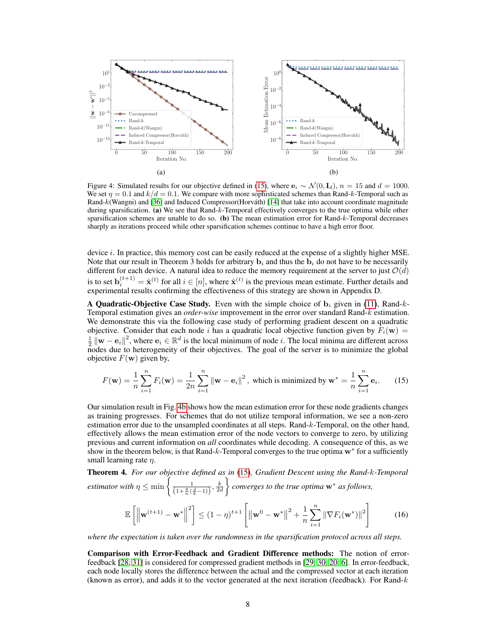<span id="page-7-1"></span>

Figure 4: Simulated results for our objective defined in [\(15\)](#page-7-0), where  $e_i \sim \mathcal{N}(0, I_d)$ ,  $n = 15$  and  $d = 1000$ . We set  $\eta = 0.1$  and  $k/d = 0.1$ . We compare with more sophisticated schemes than Rand-k-Temporal such as Rand-k(Wangni) and [\[36\]](#page-11-3) and Induced Compressor(Horváth) [\[14\]](#page-10-9) that take into account coordinate magnitude during sparsification. (a) We see that Rand-k-Temporal effectively converges to the true optima while other sparsification schemes are unable to do so. (b) The mean estimation error for Rand-k-Temporal decreases sharply as iterations proceed while other sparsification schemes continue to have a high error floor.

device *i*. In practice, this memory cost can be easily reduced at the expense of a slightly higher MSE. Note that our result in Theorem 3 holds for arbitrary  $\mathbf{b}_i$  and thus the  $\mathbf{b}_i$  do not have to be necessarily different for each device. A natural idea to reduce the memory requirement at the server to just  $\mathcal{O}(d)$ is to set  $\mathbf{b}_i^{(t+1)} = \hat{\mathbf{x}}^{(t)}$  for all  $i \in [n]$ , where  $\hat{\mathbf{x}}^{(t)}$  is the previous mean estimate. Further details and experimental results confirming the effectiveness of this strategy are shown in Appendix D.

A Quadratic-Objective Case Study. Even with the simple choice of  $\mathbf{b}_i$  given in [\(11\)](#page-6-0), Rand-k-Temporal estimation gives an *order-wise* improvement in the error over standard Rand-k estimation. We demonstrate this via the following case study of performing gradient descent on a quadratic objective. Consider that each node i has a quadratic local objective function given by  $F_i(\mathbf{w}) =$  $\frac{1}{2} \|\mathbf{w} - \mathbf{e}_i\|^2$ , where  $\mathbf{e}_i \in \mathbb{R}^d$  is the local minimum of node *i*. The local minima are different across nodes due to heterogeneity of their objectives. The goal of the server is to minimize the global objective  $F(\mathbf{w})$  given by,

<span id="page-7-0"></span>
$$
F(\mathbf{w}) = \frac{1}{n} \sum_{i=1}^{n} F_i(\mathbf{w}) = \frac{1}{2n} \sum_{i=1}^{n} ||\mathbf{w} - \mathbf{e}_i||^2, \text{ which is minimized by } \mathbf{w}^* = \frac{1}{n} \sum_{i=1}^{n} \mathbf{e}_i.
$$
 (15)

Our simulation result in Fig. [4b](#page-7-1) shows how the mean estimation error for these node gradients changes as training progresses. For schemes that do not utilize temporal information, we see a non-zero estimation error due to the unsampled coordinates at all steps. Rand-k-Temporal, on the other hand, effectively allows the mean estimation error of the node vectors to converge to zero, by utilizing previous and current information on *all* coordinates while decoding. A consequence of this, as we show in the theorem below, is that Rand-k-Temporal converges to the true optima  $w^*$  for a sufficiently small learning rate  $\eta$ .

Theorem 4. *For our objective defined as in* [\(15\)](#page-7-0)*, Gradient Descent using the Rand-*k*-Temporal estimator with*  $\eta \leq \min \left\{ \frac{1}{\left(1+\frac{8}{n}(\frac{d}{k}-1)\right)}, \frac{k}{2d}\right\}$ *converges to the true optima* w<sup>∗</sup> *as follows,*

$$
\mathbb{E}\left[\left\|\mathbf{w}^{(t+1)} - \mathbf{w}^*\right\|^2\right] \le (1-\eta)^{t+1} \left[\left\|\mathbf{w}^0 - \mathbf{w}^*\right\|^2 + \frac{1}{n}\sum_{i=1}^n \left\|\nabla F_i(\mathbf{w}^*)\right\|^2\right] \tag{16}
$$

*where the expectation is taken over the randomness in the sparsification protocol across all steps.*

Comparison with Error-Feedback and Gradient Difference methods: The notion of errorfeedback [\[28,](#page-11-10) [31\]](#page-11-11) is considered for compressed gradient methods in [\[29,](#page-11-12) [30,](#page-11-1) [20,](#page-11-7) [6\]](#page-10-8). In error-feedback, each node locally stores the difference between the actual and the compressed vector at each iteration (known as error), and adds it to the vector generated at the next iteration (feedback). For Rand- $k$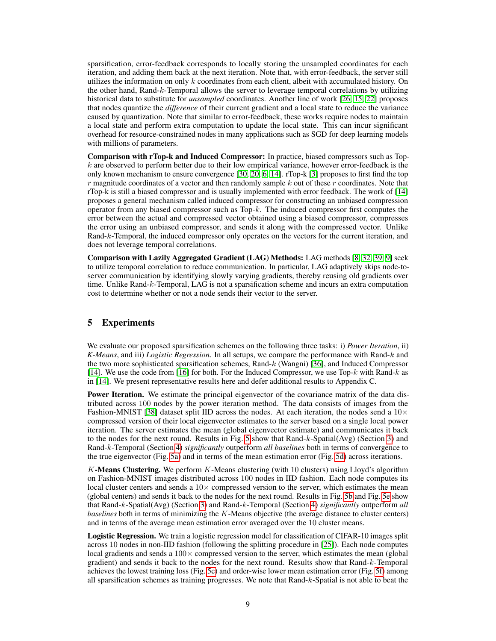sparsification, error-feedback corresponds to locally storing the unsampled coordinates for each iteration, and adding them back at the next iteration. Note that, with error-feedback, the server still utilizes the information on only  $k$  coordinates from each client, albeit with accumulated history. On the other hand, Rand-k-Temporal allows the server to leverage temporal correlations by utilizing historical data to substitute for *unsampled* coordinates. Another line of work [\[26,](#page-11-13) [15,](#page-10-12) [22\]](#page-11-14) proposes that nodes quantize the *difference* of their current gradient and a local state to reduce the variance caused by quantization. Note that similar to error-feedback, these works require nodes to maintain a local state and perform extra computation to update the local state. This can incur significant overhead for resource-constrained nodes in many applications such as SGD for deep learning models with millions of parameters.

Comparison with rTop-k and Induced Compressor: In practice, biased compressors such as Top $k$  are observed to perform better due to their low empirical variance, however error-feedback is the only known mechanism to ensure convergence [\[30,](#page-11-1) [20,](#page-11-7) [6,](#page-10-8) [14\]](#page-10-9). rTop-k [\[3\]](#page-10-13) proposes to first find the top  $r$  magnitude coordinates of a vector and then randomly sample  $k$  out of these  $r$  coordinates. Note that rTop-k is still a biased compressor and is usually implemented with error feedback. The work of [\[14\]](#page-10-9) proposes a general mechanism called induced compressor for constructing an unbiased compression operator from any biased compressor such as  $Top-k$ . The induced compressor first computes the error between the actual and compressed vector obtained using a biased compressor, compresses the error using an unbiased compressor, and sends it along with the compressed vector. Unlike Rand-k-Temporal, the induced compressor only operates on the vectors for the current iteration, and does not leverage temporal correlations.

Comparison with Lazily Aggregated Gradient (LAG) Methods: LAG methods [\[8,](#page-10-14) [32,](#page-11-15) [39,](#page-12-2) [9\]](#page-10-15) seek to utilize temporal correlation to reduce communication. In particular, LAG adaptively skips node-toserver communication by identifying slowly varying gradients, thereby reusing old gradients over time. Unlike Rand-k-Temporal, LAG is not a sparsification scheme and incurs an extra computation cost to determine whether or not a node sends their vector to the server.

# <span id="page-8-0"></span>5 Experiments

We evaluate our proposed sparsification schemes on the following three tasks: i) *Power Iteration*, ii) *K-Means*, and iii) *Logistic Regression*. In all setups, we compare the performance with Rand-k and the two more sophisticated sparsification schemes, Rand-k (Wangni) [\[36\]](#page-11-3), and Induced Compressor [\[14\]](#page-10-9). We use the code from [\[16\]](#page-10-16) for both. For the Induced Compressor, we use Top- $k$  with Rand- $k$  as in [\[14\]](#page-10-9). We present representative results here and defer additional results to Appendix C.

**Power Iteration.** We estimate the principal eigenvector of the covariance matrix of the data distributed across 100 nodes by the power iteration method. The data consists of images from the Fashion-MNIST [\[38\]](#page-12-3) dataset split IID across the nodes. At each iteration, the nodes send a  $10\times$ compressed version of their local eigenvector estimates to the server based on a single local power iteration. The server estimates the mean (global eigenvector estimate) and communicates it back to the nodes for the next round. Results in Fig. [5](#page-9-2) show that Rand- $k$ -Spatial(Avg) (Section [3\)](#page-2-0) and Rand-k-Temporal (Section [4\)](#page-5-0) *significantly* outperform *all baselines* both in terms of convergence to the true eigenvector (Fig. [5a\)](#page-9-2) and in terms of the mean estimation error (Fig. [5d\)](#page-9-2) across iterations.

K-Means Clustering. We perform  $K$ -Means clustering (with 10 clusters) using Lloyd's algorithm on Fashion-MNIST images distributed across 100 nodes in IID fashion. Each node computes its local cluster centers and sends a  $10\times$  compressed version to the server, which estimates the mean (global centers) and sends it back to the nodes for the next round. Results in Fig. [5b](#page-9-2) and Fig. [5e](#page-9-2) show that Rand-k-Spatial(Avg) (Section [3\)](#page-2-0) and Rand-k-Temporal (Section [4\)](#page-5-0) *significantly* outperform *all baselines* both in terms of minimizing the K-Means objective (the average distance to cluster centers) and in terms of the average mean estimation error averaged over the 10 cluster means.

**Logistic Regression.** We train a logistic regression model for classification of CIFAR-10 images split across 10 nodes in non-IID fashion (following the splitting procedure in [\[25\]](#page-11-16)). Each node computes local gradients and sends a  $100 \times$  compressed version to the server, which estimates the mean (global gradient) and sends it back to the nodes for the next round. Results show that Rand-k-Temporal achieves the lowest training loss (Fig. [5c\)](#page-9-2) and order-wise lower mean estimation error (Fig. [5f\)](#page-9-2) among all sparsification schemes as training progresses. We note that Rand-k-Spatial is not able to beat the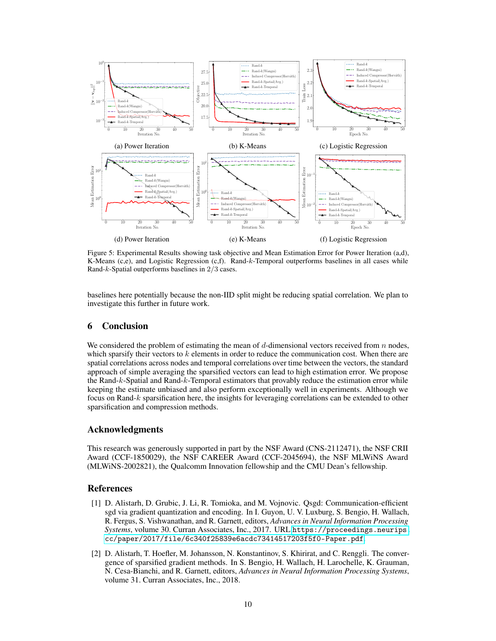<span id="page-9-2"></span>

Figure 5: Experimental Results showing task objective and Mean Estimation Error for Power Iteration (a,d), K-Means (c,e), and Logistic Regression (c,f). Rand-k-Temporal outperforms baselines in all cases while Rand-k-Spatial outperforms baselines in 2/3 cases.

baselines here potentially because the non-IID split might be reducing spatial correlation. We plan to investigate this further in future work.

## 6 Conclusion

We considered the problem of estimating the mean of  $d$ -dimensional vectors received from  $n$  nodes, which sparsify their vectors to  $k$  elements in order to reduce the communication cost. When there are spatial correlations across nodes and temporal correlations over time between the vectors, the standard approach of simple averaging the sparsified vectors can lead to high estimation error. We propose the Rand-k-Spatial and Rand-k-Temporal estimators that provably reduce the estimation error while keeping the estimate unbiased and also perform exceptionally well in experiments. Although we focus on Rand-k sparsification here, the insights for leveraging correlations can be extended to other sparsification and compression methods.

### Acknowledgments

This research was generously supported in part by the NSF Award (CNS-2112471), the NSF CRII Award (CCF-1850029), the NSF CAREER Award (CCF-2045694), the NSF MLWiNS Award (MLWiNS-2002821), the Qualcomm Innovation fellowship and the CMU Dean's fellowship.

### References

- <span id="page-9-0"></span>[1] D. Alistarh, D. Grubic, J. Li, R. Tomioka, and M. Vojnovic. Qsgd: Communication-efficient sgd via gradient quantization and encoding. In I. Guyon, U. V. Luxburg, S. Bengio, H. Wallach, R. Fergus, S. Vishwanathan, and R. Garnett, editors, *Advances in Neural Information Processing Systems*, volume 30. Curran Associates, Inc., 2017. URL [https://proceedings.neurips.](https://proceedings.neurips.cc/paper/2017/file/6c340f25839e6acdc73414517203f5f0-Paper.pdf) [cc/paper/2017/file/6c340f25839e6acdc73414517203f5f0-Paper.pdf](https://proceedings.neurips.cc/paper/2017/file/6c340f25839e6acdc73414517203f5f0-Paper.pdf).
- <span id="page-9-1"></span>[2] D. Alistarh, T. Hoefler, M. Johansson, N. Konstantinov, S. Khirirat, and C. Renggli. The convergence of sparsified gradient methods. In S. Bengio, H. Wallach, H. Larochelle, K. Grauman, N. Cesa-Bianchi, and R. Garnett, editors, *Advances in Neural Information Processing Systems*, volume 31. Curran Associates, Inc., 2018.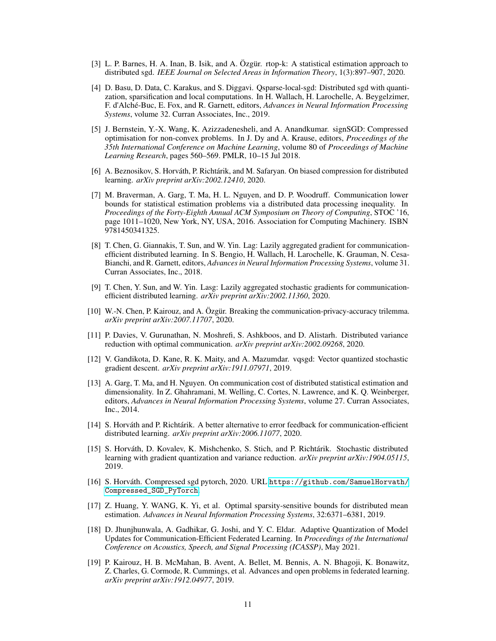- <span id="page-10-13"></span>[3] L. P. Barnes, H. A. Inan, B. Isik, and A. Özgür. rtop-k: A statistical estimation approach to distributed sgd. *IEEE Journal on Selected Areas in Information Theory*, 1(3):897–907, 2020.
- <span id="page-10-7"></span>[4] D. Basu, D. Data, C. Karakus, and S. Diggavi. Qsparse-local-sgd: Distributed sgd with quantization, sparsification and local computations. In H. Wallach, H. Larochelle, A. Beygelzimer, F. d'Alché-Buc, E. Fox, and R. Garnett, editors, *Advances in Neural Information Processing Systems*, volume 32. Curran Associates, Inc., 2019.
- <span id="page-10-6"></span>[5] J. Bernstein, Y.-X. Wang, K. Azizzadenesheli, and A. Anandkumar. signSGD: Compressed optimisation for non-convex problems. In J. Dy and A. Krause, editors, *Proceedings of the 35th International Conference on Machine Learning*, volume 80 of *Proceedings of Machine Learning Research*, pages 560–569. PMLR, 10–15 Jul 2018.
- <span id="page-10-8"></span>[6] A. Beznosikov, S. Horváth, P. Richtárik, and M. Safaryan. On biased compression for distributed learning. *arXiv preprint arXiv:2002.12410*, 2020.
- <span id="page-10-2"></span>[7] M. Braverman, A. Garg, T. Ma, H. L. Nguyen, and D. P. Woodruff. Communication lower bounds for statistical estimation problems via a distributed data processing inequality. In *Proceedings of the Forty-Eighth Annual ACM Symposium on Theory of Computing*, STOC '16, page 1011–1020, New York, NY, USA, 2016. Association for Computing Machinery. ISBN 9781450341325.
- <span id="page-10-14"></span>[8] T. Chen, G. Giannakis, T. Sun, and W. Yin. Lag: Lazily aggregated gradient for communicationefficient distributed learning. In S. Bengio, H. Wallach, H. Larochelle, K. Grauman, N. Cesa-Bianchi, and R. Garnett, editors, *Advances in Neural Information Processing Systems*, volume 31. Curran Associates, Inc., 2018.
- <span id="page-10-15"></span>[9] T. Chen, Y. Sun, and W. Yin. Lasg: Lazily aggregated stochastic gradients for communicationefficient distributed learning. *arXiv preprint arXiv:2002.11360*, 2020.
- <span id="page-10-3"></span>[10] W.-N. Chen, P. Kairouz, and A. Özgür. Breaking the communication-privacy-accuracy trilemma. *arXiv preprint arXiv:2007.11707*, 2020.
- <span id="page-10-11"></span>[11] P. Davies, V. Gurunathan, N. Moshrefi, S. Ashkboos, and D. Alistarh. Distributed variance reduction with optimal communication. *arXiv preprint arXiv:2002.09268*, 2020.
- <span id="page-10-5"></span>[12] V. Gandikota, D. Kane, R. K. Maity, and A. Mazumdar. vqsgd: Vector quantized stochastic gradient descent. *arXiv preprint arXiv:1911.07971*, 2019.
- <span id="page-10-1"></span>[13] A. Garg, T. Ma, and H. Nguyen. On communication cost of distributed statistical estimation and dimensionality. In Z. Ghahramani, M. Welling, C. Cortes, N. Lawrence, and K. Q. Weinberger, editors, *Advances in Neural Information Processing Systems*, volume 27. Curran Associates, Inc., 2014.
- <span id="page-10-9"></span>[14] S. Horváth and P. Richtárik. A better alternative to error feedback for communication-efficient distributed learning. *arXiv preprint arXiv:2006.11077*, 2020.
- <span id="page-10-12"></span>[15] S. Horváth, D. Kovalev, K. Mishchenko, S. Stich, and P. Richtárik. Stochastic distributed learning with gradient quantization and variance reduction. *arXiv preprint arXiv:1904.05115*, 2019.
- <span id="page-10-16"></span>[16] S. Horváth. Compressed sgd pytorch, 2020. URL [https://github.com/SamuelHorvath/](https://github.com/SamuelHorvath/Compressed_SGD_PyTorch) [Compressed\\_SGD\\_PyTorch](https://github.com/SamuelHorvath/Compressed_SGD_PyTorch).
- <span id="page-10-4"></span>[17] Z. Huang, Y. WANG, K. Yi, et al. Optimal sparsity-sensitive bounds for distributed mean estimation. *Advances in Neural Information Processing Systems*, 32:6371–6381, 2019.
- <span id="page-10-10"></span>[18] D. Jhunjhunwala, A. Gadhikar, G. Joshi, and Y. C. Eldar. Adaptive Quantization of Model Updates for Communication-Efficient Federated Learning. In *Proceedings of the International Conference on Acoustics, Speech, and Signal Processing (ICASSP)*, May 2021.
- <span id="page-10-0"></span>[19] P. Kairouz, H. B. McMahan, B. Avent, A. Bellet, M. Bennis, A. N. Bhagoji, K. Bonawitz, Z. Charles, G. Cormode, R. Cummings, et al. Advances and open problems in federated learning. *arXiv preprint arXiv:1912.04977*, 2019.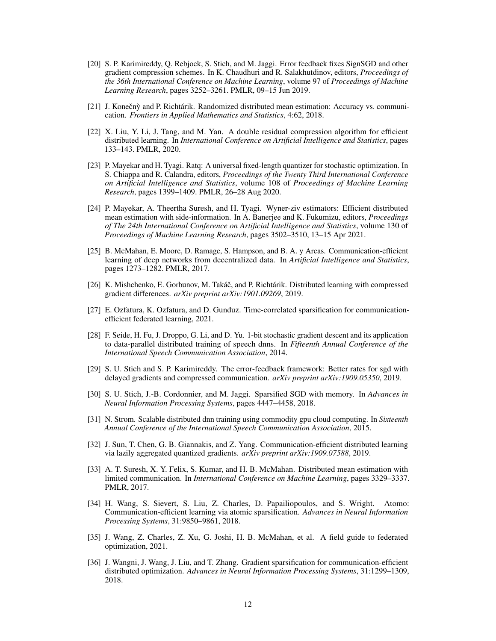- <span id="page-11-7"></span>[20] S. P. Karimireddy, Q. Rebjock, S. Stich, and M. Jaggi. Error feedback fixes SignSGD and other gradient compression schemes. In K. Chaudhuri and R. Salakhutdinov, editors, *Proceedings of the 36th International Conference on Machine Learning*, volume 97 of *Proceedings of Machine Learning Research*, pages 3252–3261. PMLR, 09–15 Jun 2019.
- <span id="page-11-4"></span>[21] J. Konečnỳ and P. Richtárik. Randomized distributed mean estimation: Accuracy vs. communication. *Frontiers in Applied Mathematics and Statistics*, 4:62, 2018.
- <span id="page-11-14"></span>[22] X. Liu, Y. Li, J. Tang, and M. Yan. A double residual compression algorithm for efficient distributed learning. In *International Conference on Artificial Intelligence and Statistics*, pages 133–143. PMLR, 2020.
- <span id="page-11-8"></span>[23] P. Mayekar and H. Tyagi. Ratq: A universal fixed-length quantizer for stochastic optimization. In S. Chiappa and R. Calandra, editors, *Proceedings of the Twenty Third International Conference on Artificial Intelligence and Statistics*, volume 108 of *Proceedings of Machine Learning Research*, pages 1399–1409. PMLR, 26–28 Aug 2020.
- <span id="page-11-6"></span>[24] P. Mayekar, A. Theertha Suresh, and H. Tyagi. Wyner-ziv estimators: Efficient distributed mean estimation with side-information. In A. Banerjee and K. Fukumizu, editors, *Proceedings of The 24th International Conference on Artificial Intelligence and Statistics*, volume 130 of *Proceedings of Machine Learning Research*, pages 3502–3510, 13–15 Apr 2021.
- <span id="page-11-16"></span>[25] B. McMahan, E. Moore, D. Ramage, S. Hampson, and B. A. y Arcas. Communication-efficient learning of deep networks from decentralized data. In *Artificial Intelligence and Statistics*, pages 1273–1282. PMLR, 2017.
- <span id="page-11-13"></span>[26] K. Mishchenko, E. Gorbunov, M. Takáč, and P. Richtárik. Distributed learning with compressed gradient differences. *arXiv preprint arXiv:1901.09269*, 2019.
- <span id="page-11-9"></span>[27] E. Ozfatura, K. Ozfatura, and D. Gunduz. Time-correlated sparsification for communicationefficient federated learning, 2021.
- <span id="page-11-10"></span>[28] F. Seide, H. Fu, J. Droppo, G. Li, and D. Yu. 1-bit stochastic gradient descent and its application to data-parallel distributed training of speech dnns. In *Fifteenth Annual Conference of the International Speech Communication Association*, 2014.
- <span id="page-11-12"></span>[29] S. U. Stich and S. P. Karimireddy. The error-feedback framework: Better rates for sgd with delayed gradients and compressed communication. *arXiv preprint arXiv:1909.05350*, 2019.
- <span id="page-11-1"></span>[30] S. U. Stich, J.-B. Cordonnier, and M. Jaggi. Sparsified SGD with memory. In *Advances in Neural Information Processing Systems*, pages 4447–4458, 2018.
- <span id="page-11-11"></span>[31] N. Strom. Scalable distributed dnn training using commodity gpu cloud computing. In *Sixteenth Annual Conference of the International Speech Communication Association*, 2015.
- <span id="page-11-15"></span>[32] J. Sun, T. Chen, G. B. Giannakis, and Z. Yang. Communication-efficient distributed learning via lazily aggregated quantized gradients. *arXiv preprint arXiv:1909.07588*, 2019.
- <span id="page-11-5"></span>[33] A. T. Suresh, X. Y. Felix, S. Kumar, and H. B. McMahan. Distributed mean estimation with limited communication. In *International Conference on Machine Learning*, pages 3329–3337. PMLR, 2017.
- <span id="page-11-2"></span>[34] H. Wang, S. Sievert, S. Liu, Z. Charles, D. Papailiopoulos, and S. Wright. Atomo: Communication-efficient learning via atomic sparsification. *Advances in Neural Information Processing Systems*, 31:9850–9861, 2018.
- <span id="page-11-0"></span>[35] J. Wang, Z. Charles, Z. Xu, G. Joshi, H. B. McMahan, et al. A field guide to federated optimization, 2021.
- <span id="page-11-3"></span>[36] J. Wangni, J. Wang, J. Liu, and T. Zhang. Gradient sparsification for communication-efficient distributed optimization. *Advances in Neural Information Processing Systems*, 31:1299–1309, 2018.